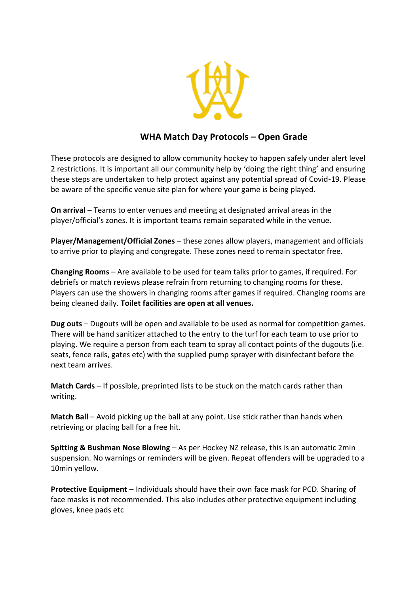

## **WHA Match Day Protocols – Open Grade**

These protocols are designed to allow community hockey to happen safely under alert level 2 restrictions. It is important all our community help by 'doing the right thing' and ensuring these steps are undertaken to help protect against any potential spread of Covid-19. Please be aware of the specific venue site plan for where your game is being played.

**On arrival** – Teams to enter venues and meeting at designated arrival areas in the player/official's zones. It is important teams remain separated while in the venue.

**Player/Management/Official Zones** – these zones allow players, management and officials to arrive prior to playing and congregate. These zones need to remain spectator free.

**Changing Rooms** – Are available to be used for team talks prior to games, if required. For debriefs or match reviews please refrain from returning to changing rooms for these. Players can use the showers in changing rooms after games if required. Changing rooms are being cleaned daily. **Toilet facilities are open at all venues.**

**Dug outs** – Dugouts will be open and available to be used as normal for competition games. There will be hand sanitizer attached to the entry to the turf for each team to use prior to playing. We require a person from each team to spray all contact points of the dugouts (i.e. seats, fence rails, gates etc) with the supplied pump sprayer with disinfectant before the next team arrives.

**Match Cards** – If possible, preprinted lists to be stuck on the match cards rather than writing.

**Match Ball** – Avoid picking up the ball at any point. Use stick rather than hands when retrieving or placing ball for a free hit.

**Spitting & Bushman Nose Blowing** – As per Hockey NZ release, this is an automatic 2min suspension. No warnings or reminders will be given. Repeat offenders will be upgraded to a 10min yellow.

**Protective Equipment** – Individuals should have their own face mask for PCD. Sharing of face masks is not recommended. This also includes other protective equipment including gloves, knee pads etc